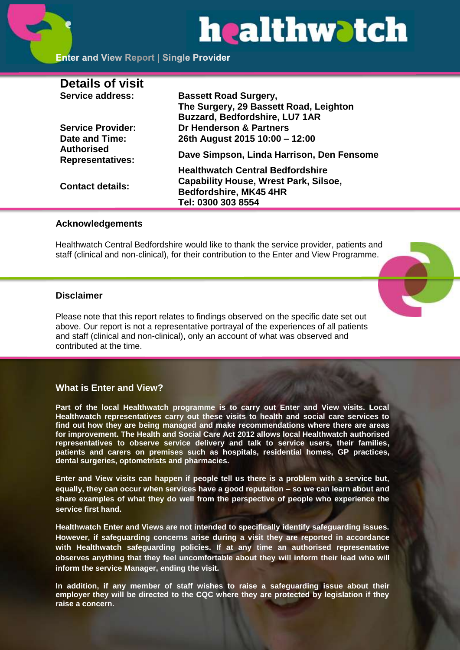# healthwatch

# **Enter and View Report | Single Provider**

| <b>Details of visit</b>                      |                                              |
|----------------------------------------------|----------------------------------------------|
| <b>Service address:</b>                      | <b>Bassett Road Surgery,</b>                 |
|                                              | The Surgery, 29 Bassett Road, Leighton       |
|                                              | <b>Buzzard, Bedfordshire, LU7 1AR</b>        |
| <b>Service Provider:</b>                     | Dr Henderson & Partners                      |
| Date and Time:                               | 26th August 2015 10:00 - 12:00               |
| <b>Authorised</b><br><b>Representatives:</b> | Dave Simpson, Linda Harrison, Den Fensome    |
|                                              | <b>Healthwatch Central Bedfordshire</b>      |
| <b>Contact details:</b>                      | <b>Capability House, Wrest Park, Silsoe,</b> |
|                                              | <b>Bedfordshire, MK45 4HR</b>                |
|                                              | Tel: 0300 303 8554                           |
|                                              |                                              |

#### **Acknowledgements**

Healthwatch Central Bedfordshire would like to thank the service provider, patients and staff (clinical and non-clinical), for their contribution to the Enter and View Programme.

### **Disclaimer**

Please note that this report relates to findings observed on the specific date set out above. Our report is not a representative portrayal of the experiences of all patients and staff (clinical and non-clinical), only an account of what was observed and contributed at the time.

# **What is Enter and View?**

**Part of the local Healthwatch programme is to carry out Enter and View visits. Local Healthwatch representatives carry out these visits to health and social care services to find out how they are being managed and make recommendations where there are areas for improvement. The Health and Social Care Act 2012 allows local Healthwatch authorised representatives to observe service delivery and talk to service users, their families, patients and carers on premises such as hospitals, residential homes, GP practices, dental surgeries, optometrists and pharmacies.** 

**Enter and View visits can happen if people tell us there is a problem with a service but, equally, they can occur when services have a good reputation – so we can learn about and share examples of what they do well from the perspective of people who experience the service first hand.**

**Healthwatch Enter and Views are not intended to specifically identify safeguarding issues. However, if safeguarding concerns arise during a visit they are reported in accordance with Healthwatch safeguarding policies. If at any time an authorised representative observes anything that they feel uncomfortable about they will inform their lead who will inform the service Manager, ending the visit.** 

**In addition, if any member of staff wishes to raise a safeguarding issue about their employer they will be directed to the CQC where they are protected by legislation if they raise a concern.**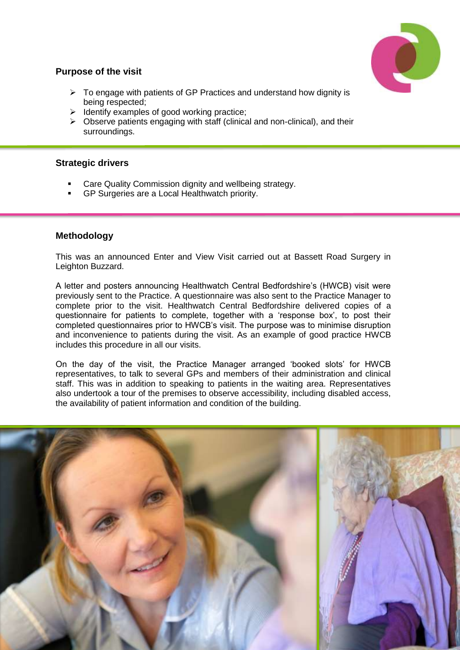

# **Purpose of the visit**

- $\triangleright$  To engage with patients of GP Practices and understand how dignity is being respected;
- $\triangleright$  Identify examples of good working practice;
- $\triangleright$  Observe patients engaging with staff (clinical and non-clinical), and their surroundings.

#### **Strategic drivers**

- Care Quality Commission dignity and wellbeing strategy.
- GP Surgeries are a Local Healthwatch priority.

#### **Methodology**

This was an announced Enter and View Visit carried out at Bassett Road Surgery in Leighton Buzzard.

A letter and posters announcing Healthwatch Central Bedfordshire's (HWCB) visit were previously sent to the Practice. A questionnaire was also sent to the Practice Manager to complete prior to the visit. Healthwatch Central Bedfordshire delivered copies of a questionnaire for patients to complete, together with a 'response box', to post their completed questionnaires prior to HWCB's visit. The purpose was to minimise disruption and inconvenience to patients during the visit. As an example of good practice HWCB includes this procedure in all our visits.

On the day of the visit, the Practice Manager arranged 'booked slots' for HWCB representatives, to talk to several GPs and members of their administration and clinical staff. This was in addition to speaking to patients in the waiting area. Representatives also undertook a tour of the premises to observe accessibility, including disabled access, the availability of patient information and condition of the building.

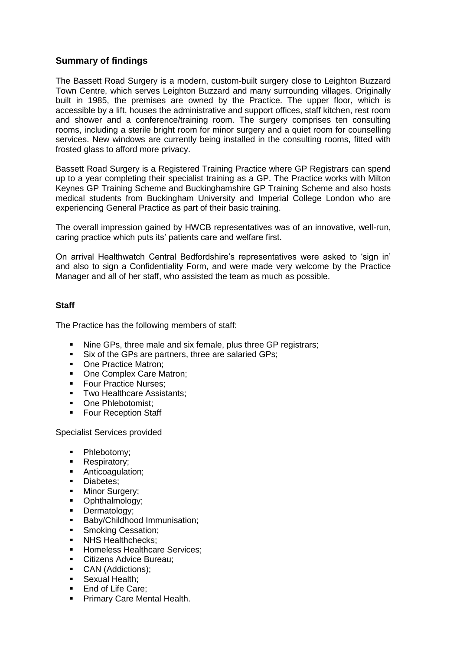# **Summary of findings**

The Bassett Road Surgery is a modern, custom-built surgery close to Leighton Buzzard Town Centre, which serves Leighton Buzzard and many surrounding villages. Originally built in 1985, the premises are owned by the Practice. The upper floor, which is accessible by a lift, houses the administrative and support offices, staff kitchen, rest room and shower and a conference/training room. The surgery comprises ten consulting rooms, including a sterile bright room for minor surgery and a quiet room for counselling services. New windows are currently being installed in the consulting rooms, fitted with frosted glass to afford more privacy.

Bassett Road Surgery is a Registered Training Practice where GP Registrars can spend up to a year completing their specialist training as a GP. The Practice works with Milton Keynes GP Training Scheme and Buckinghamshire GP Training Scheme and also hosts medical students from Buckingham University and Imperial College London who are experiencing General Practice as part of their basic training.

The overall impression gained by HWCB representatives was of an innovative, well-run, caring practice which puts its' patients care and welfare first.

On arrival Healthwatch Central Bedfordshire's representatives were asked to 'sign in' and also to sign a Confidentiality Form, and were made very welcome by the Practice Manager and all of her staff, who assisted the team as much as possible.

#### **Staff**

The Practice has the following members of staff:

- Nine GPs, three male and six female, plus three GP registrars;
- Six of the GPs are partners, three are salaried GPs;
- One Practice Matron:
- One Complex Care Matron;
- **Four Practice Nurses:**
- **Two Healthcare Assistants:**
- One Phlebotomist:
- **Four Reception Staff**

Specialist Services provided

- Phlebotomy;
- Respiratory:
- **Anticoagulation;**
- **Diabetes:**
- Minor Surgery;
- Ophthalmology;
- **Dermatology:**
- **Baby/Childhood Immunisation;**
- **Smoking Cessation;**
- NHS Healthchecks:
- **Homeless Healthcare Services:**
- Citizens Advice Bureau;
- CAN (Addictions);
- **Sexual Health:**
- **End of Life Care:**
- **Primary Care Mental Health.**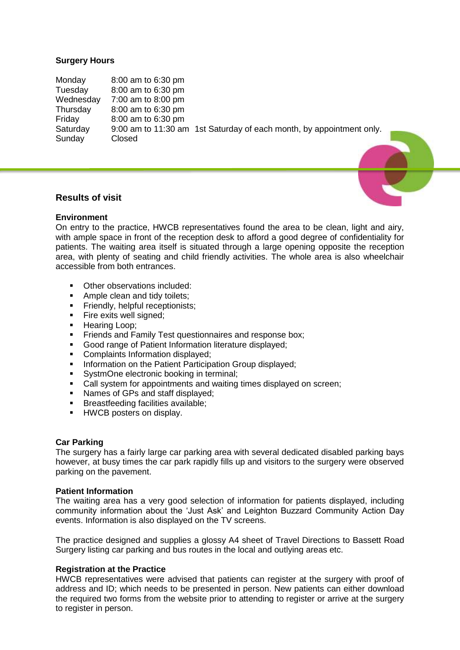#### **Surgery Hours**

Monday 8:00 am to 6:30 pm Tuesday 8:00 am to 6:30 pm Wednesday 7:00 am to 8:00 pm Thursday 8:00 am to 6:30 pm Friday 8:00 am to 6:30 pm Saturday 9:00 am to 11:30 am 1st Saturday of each month, by appointment only. Sunday Closed

#### **Results of visit**

#### **Environment**

On entry to the practice, HWCB representatives found the area to be clean, light and airy, with ample space in front of the reception desk to afford a good degree of confidentiality for patients. The waiting area itself is situated through a large opening opposite the reception area, with plenty of seating and child friendly activities. The whole area is also wheelchair accessible from both entrances.

- Other observations included:<br>• Ample clean and tidy toilets:
- Ample clean and tidy toilets;
- **Firmally, helpful receptionists;**
- Fire exits well signed;
- **Hearing Loop:**
- **Firmally Test questionnaires and response box:**
- Good range of Patient Information literature displayed;
- **Complaints Information displayed;**
- **Information on the Patient Participation Group displayed:**
- **SystmOne electronic booking in terminal;**
- Call system for appointments and waiting times displayed on screen;
- Names of GPs and staff displayed:
- **Breastfeeding facilities available;**
- **HWCB** posters on display.

#### **Car Parking**

The surgery has a fairly large car parking area with several dedicated disabled parking bays however, at busy times the car park rapidly fills up and visitors to the surgery were observed parking on the pavement.

#### **Patient Information**

The waiting area has a very good selection of information for patients displayed, including community information about the 'Just Ask' and Leighton Buzzard Community Action Day events. Information is also displayed on the TV screens.

The practice designed and supplies a glossy A4 sheet of Travel Directions to Bassett Road Surgery listing car parking and bus routes in the local and outlying areas etc.

#### **Registration at the Practice**

HWCB representatives were advised that patients can register at the surgery with proof of address and ID; which needs to be presented in person. New patients can either download the required two forms from the website prior to attending to register or arrive at the surgery to register in person.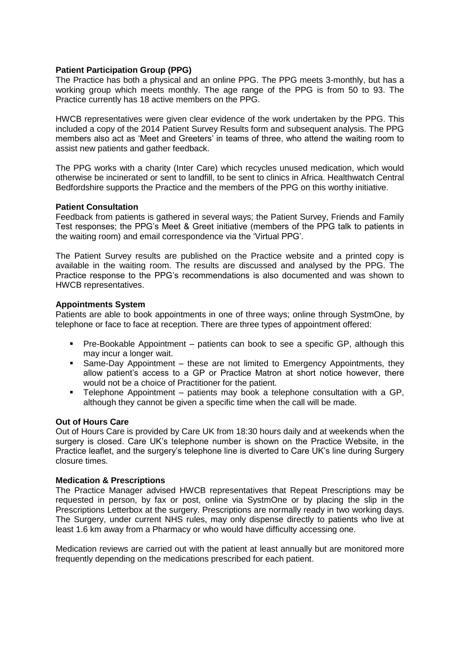#### **Patient Participation Group (PPG)**

The Practice has both a physical and an online PPG. The PPG meets 3-monthly, but has a working group which meets monthly. The age range of the PPG is from 50 to 93. The Practice currently has 18 active members on the PPG.

HWCB representatives were given clear evidence of the work undertaken by the PPG. This included a copy of the 2014 Patient Survey Results form and subsequent analysis. The PPG members also act as 'Meet and Greeters' in teams of three, who attend the waiting room to assist new patients and gather feedback.

The PPG works with a charity (Inter Care) which recycles unused medication, which would otherwise be incinerated or sent to landfill, to be sent to clinics in Africa. Healthwatch Central Bedfordshire supports the Practice and the members of the PPG on this worthy initiative.

#### **Patient Consultation**

Feedback from patients is gathered in several ways; the Patient Survey, Friends and Family Test responses; the PPG's Meet & Greet initiative (members of the PPG talk to patients in the waiting room) and email correspondence via the 'Virtual PPG'.

The Patient Survey results are published on the Practice website and a printed copy is available in the waiting room. The results are discussed and analysed by the PPG. The Practice response to the PPG's recommendations is also documented and was shown to HWCB representatives.

#### **Appointments System**

Patients are able to book appointments in one of three ways; online through SystmOne, by telephone or face to face at reception. There are three types of appointment offered:

- Pre-Bookable Appointment patients can book to see a specific GP, although this may incur a longer wait.
- Same-Day Appointment these are not limited to Emergency Appointments, they allow patient's access to a GP or Practice Matron at short notice however, there would not be a choice of Practitioner for the patient.
- Telephone Appointment patients may book a telephone consultation with a GP, although they cannot be given a specific time when the call will be made.

#### **Out of Hours Care**

Out of Hours Care is provided by Care UK from 18:30 hours daily and at weekends when the surgery is closed. Care UK's telephone number is shown on the Practice Website, in the Practice leaflet, and the surgery's telephone line is diverted to Care UK's line during Surgery closure times.

#### **Medication & Prescriptions**

The Practice Manager advised HWCB representatives that Repeat Prescriptions may be requested in person, by fax or post, online via SystmOne or by placing the slip in the Prescriptions Letterbox at the surgery. Prescriptions are normally ready in two working days. The Surgery, under current NHS rules, may only dispense directly to patients who live at least 1.6 km away from a Pharmacy or who would have difficulty accessing one.

Medication reviews are carried out with the patient at least annually but are monitored more frequently depending on the medications prescribed for each patient.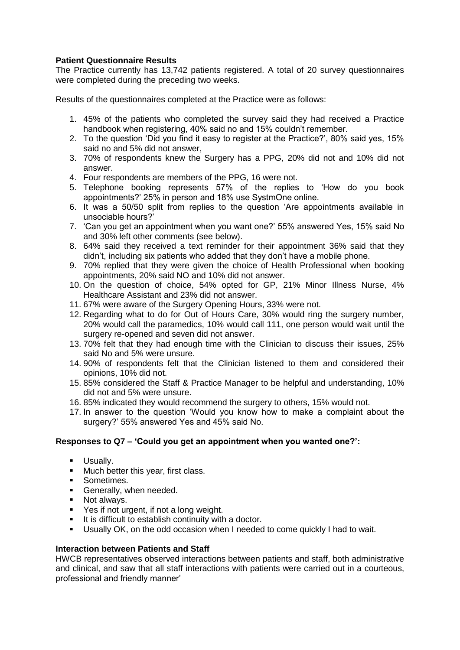#### **Patient Questionnaire Results**

The Practice currently has 13,742 patients registered. A total of 20 survey questionnaires were completed during the preceding two weeks.

Results of the questionnaires completed at the Practice were as follows:

- 1. 45% of the patients who completed the survey said they had received a Practice handbook when registering, 40% said no and 15% couldn't remember.
- 2. To the question 'Did you find it easy to register at the Practice?', 80% said yes, 15% said no and 5% did not answer,
- 3. 70% of respondents knew the Surgery has a PPG, 20% did not and 10% did not answer.
- 4. Four respondents are members of the PPG, 16 were not.
- 5. Telephone booking represents 57% of the replies to 'How do you book appointments?' 25% in person and 18% use SystmOne online.
- 6. It was a 50/50 split from replies to the question 'Are appointments available in unsociable hours?'
- 7. 'Can you get an appointment when you want one?' 55% answered Yes, 15% said No and 30% left other comments (see below).
- 8. 64% said they received a text reminder for their appointment 36% said that they didn't, including six patients who added that they don't have a mobile phone.
- 9. 70% replied that they were given the choice of Health Professional when booking appointments, 20% said NO and 10% did not answer.
- 10. On the question of choice, 54% opted for GP, 21% Minor Illness Nurse, 4% Healthcare Assistant and 23% did not answer.
- 11. 67% were aware of the Surgery Opening Hours, 33% were not.
- 12. Regarding what to do for Out of Hours Care, 30% would ring the surgery number, 20% would call the paramedics, 10% would call 111, one person would wait until the surgery re-opened and seven did not answer.
- 13. 70% felt that they had enough time with the Clinician to discuss their issues, 25% said No and 5% were unsure.
- 14. 90% of respondents felt that the Clinician listened to them and considered their opinions, 10% did not.
- 15. 85% considered the Staff & Practice Manager to be helpful and understanding, 10% did not and 5% were unsure.
- 16. 85% indicated they would recommend the surgery to others, 15% would not.
- 17. In answer to the question 'Would you know how to make a complaint about the surgery?' 55% answered Yes and 45% said No.

#### **Responses to Q7 – 'Could you get an appointment when you wanted one?':**

- **Usually.**
- **Much better this year, first class.**
- **Sometimes.**
- Generally, when needed.
- **Not always.**
- Yes if not urgent, if not a long weight.
- It is difficult to establish continuity with a doctor.
- Usually OK, on the odd occasion when I needed to come quickly I had to wait.

#### **Interaction between Patients and Staff**

HWCB representatives observed interactions between patients and staff, both administrative and clinical, and saw that all staff interactions with patients were carried out in a courteous, professional and friendly manner'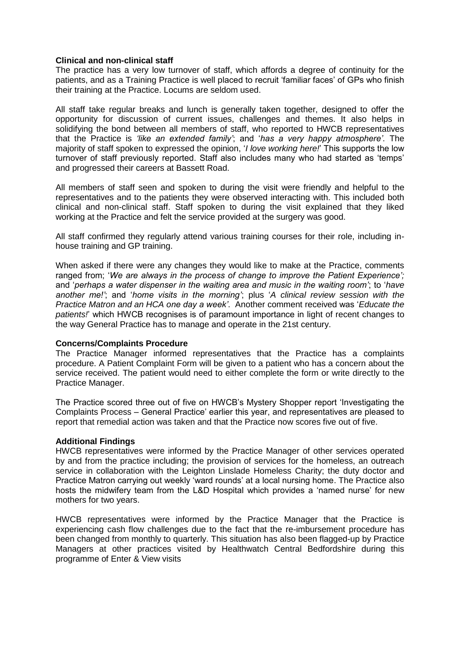#### **Clinical and non-clinical staff**

The practice has a very low turnover of staff, which affords a degree of continuity for the patients, and as a Training Practice is well placed to recruit 'familiar faces' of GPs who finish their training at the Practice. Locums are seldom used.

All staff take regular breaks and lunch is generally taken together, designed to offer the opportunity for discussion of current issues, challenges and themes. It also helps in solidifying the bond between all members of staff, who reported to HWCB representatives that the Practice is *'like an extended family'*; and '*has a very happy atmosphere'*. The majority of staff spoken to expressed the opinion, '*I love working here!*' This supports the low turnover of staff previously reported. Staff also includes many who had started as 'temps' and progressed their careers at Bassett Road.

All members of staff seen and spoken to during the visit were friendly and helpful to the representatives and to the patients they were observed interacting with. This included both clinical and non-clinical staff. Staff spoken to during the visit explained that they liked working at the Practice and felt the service provided at the surgery was good.

All staff confirmed they regularly attend various training courses for their role, including inhouse training and GP training.

When asked if there were any changes they would like to make at the Practice, comments ranged from; '*We are always in the process of change to improve the Patient Experience';* and '*perhaps a water dispenser in the waiting area and music in the waiting room'*; to '*have another me!'*; and '*home visits in the morning'*; plus '*A clinical review session with the Practice Matron and an HCA one day a week'*. Another comment received was '*Educate the patients!*' which HWCB recognises is of paramount importance in light of recent changes to the way General Practice has to manage and operate in the 21st century.

#### **Concerns/Complaints Procedure**

The Practice Manager informed representatives that the Practice has a complaints procedure. A Patient Complaint Form will be given to a patient who has a concern about the service received. The patient would need to either complete the form or write directly to the Practice Manager.

The Practice scored three out of five on HWCB's Mystery Shopper report 'Investigating the Complaints Process – General Practice' earlier this year, and representatives are pleased to report that remedial action was taken and that the Practice now scores five out of five.

#### **Additional Findings**

HWCB representatives were informed by the Practice Manager of other services operated by and from the practice including; the provision of services for the homeless, an outreach service in collaboration with the Leighton Linslade Homeless Charity; the duty doctor and Practice Matron carrying out weekly 'ward rounds' at a local nursing home. The Practice also hosts the midwifery team from the L&D Hospital which provides a 'named nurse' for new mothers for two years.

HWCB representatives were informed by the Practice Manager that the Practice is experiencing cash flow challenges due to the fact that the re-imbursement procedure has been changed from monthly to quarterly. This situation has also been flagged-up by Practice Managers at other practices visited by Healthwatch Central Bedfordshire during this programme of Enter & View visits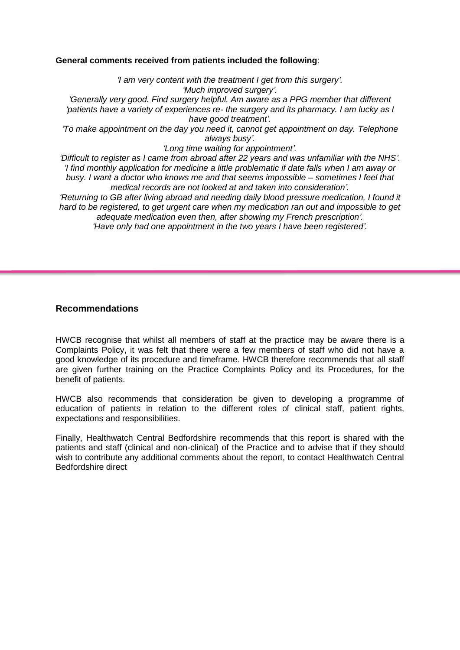#### **General comments received from patients included the following**:

*'I am very content with the treatment I get from this surgery'. 'Much improved surgery'. 'Generally very good. Find surgery helpful. Am aware as a PPG member that different 'patients have a variety of experiences re- the surgery and its pharmacy. I am lucky as I have good treatment'. 'To make appointment on the day you need it, cannot get appointment on day. Telephone always busy'. 'Long time waiting for appointment'. 'Difficult to register as I came from abroad after 22 years and was unfamiliar with the NHS'. 'I find monthly application for medicine a little problematic if date falls when I am away or* 

*busy. I want a doctor who knows me and that seems impossible – sometimes I feel that medical records are not looked at and taken into consideration'.*

*'Returning to GB after living abroad and needing daily blood pressure medication, I found it hard to be registered, to get urgent care when my medication ran out and impossible to get adequate medication even then, after showing my French prescription'.*

*'Have only had one appointment in the two years I have been registered'.*

# **Recommendations**

HWCB recognise that whilst all members of staff at the practice may be aware there is a Complaints Policy, it was felt that there were a few members of staff who did not have a good knowledge of its procedure and timeframe. HWCB therefore recommends that all staff are given further training on the Practice Complaints Policy and its Procedures, for the benefit of patients.

HWCB also recommends that consideration be given to developing a programme of education of patients in relation to the different roles of clinical staff, patient rights, expectations and responsibilities.

Finally, Healthwatch Central Bedfordshire recommends that this report is shared with the patients and staff (clinical and non-clinical) of the Practice and to advise that if they should wish to contribute any additional comments about the report, to contact Healthwatch Central Bedfordshire direct